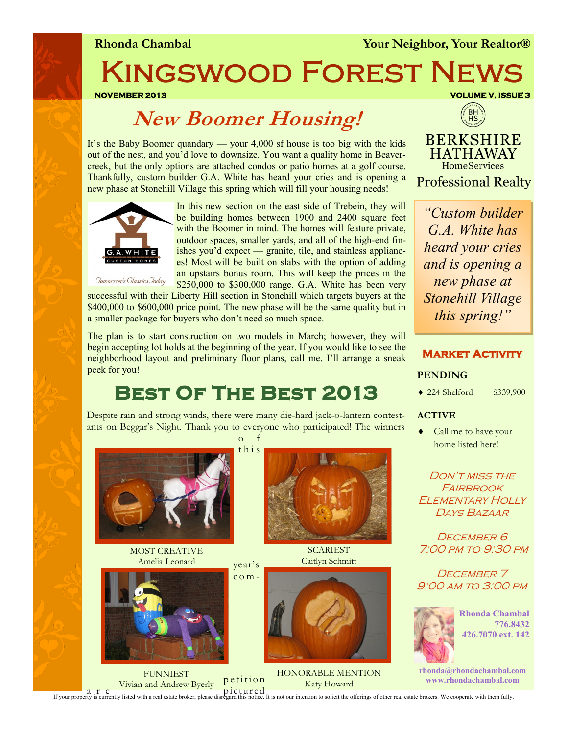**Rhonda Chambal** *Your Neighbor, Your Realtor®* 

Kingswood Forest News

**NOVEMBER 2013 VOLUME V, ISSUE 3** 

## **New Boomer Housing!**

It's the Baby Boomer quandary — your 4,000 sf house is too big with the kids out of the nest, and you'd love to downsize. You want a quality home in Beavercreek, but the only options are attached condos or patio homes at a golf course. Thankfully, custom builder G.A. White has heard your cries and is opening a new phase at Stonehill Village this spring which will fill your housing needs!



In this new section on the east side of Trebein, they will be building homes between 1900 and 2400 square feet with the Boomer in mind. The homes will feature private, outdoor spaces, smaller yards, and all of the high-end finishes you'd expect — granite, tile, and stainless appliances! Most will be built on slabs with the option of adding an upstairs bonus room. This will keep the prices in the \$250,000 to \$300,000 range. G.A. White has been very

Jomorrow's Classics Joday

successful with their Liberty Hill section in Stonehill which targets buyers at the \$400,000 to \$600,000 price point. The new phase will be the same quality but in a smaller package for buyers who don't need so much space.

The plan is to start construction on two models in March; however, they will begin accepting lot holds at the beginning of the year. If you would like to see the neighborhood layout and preliminary floor plans, call me. I'll arrange a sneak peek for you!

# **Best Of The Best 2013**

Despite rain and strong winds, there were many die-hard jack-o-lantern contestants on Beggar's Night. Thank you to everyone who participated! The winners  $\overline{O}$ 

t h i s



MOST CREATIVE Amelia Leonard



FUNNIEST Vivian and Andrew Byerly





HONORABLE MENTION Katy Howard



**HATHAWAY HomeServices Professional Realty** 

*"Custom builder G.A. White has heard your cries and is opening a new phase at Stonehill Village this spring!"*

## **Market Activity**

## **PENDING**

224 Shelford \$339,900

#### **ACTIVE**

• Call me to have your home listed here!

Don't miss the FAIRBROOK Elementary Holly Days Bazaar

DECEMBER 6 7:00 pm to 9:30 pm

DECEMBER<sub>7</sub> 9:00 am to 3:00 pm



**Rhonda Chambal 776.8432 426.7070 ext. 142**

**rhonda@rhondachambal.com www.rhondachambal.com**

a r e picture pictured property is currently listed with a real estate broker, please disregard this notice. It is not our intention to solicit the offerings of other real estate brokers. We cooperate with them fully.

petition